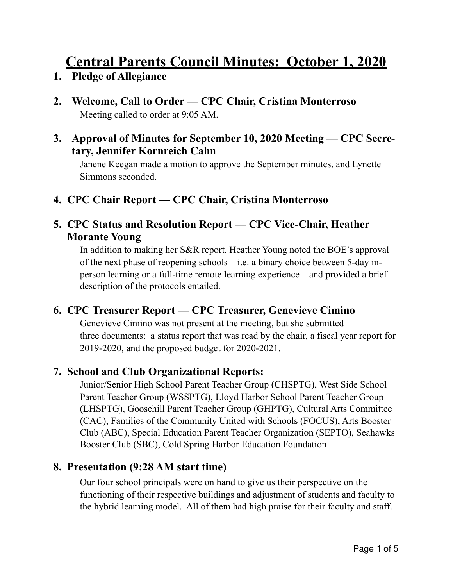# **Central Parents Council Minutes: October 1, 2020**

- **1. Pledge of Allegiance**
- **2. Welcome, Call to Order CPC Chair, Cristina Monterroso**  Meeting called to order at 9:05 AM.
- **3. Approval of Minutes for September 10, 2020 Meeting CPC Secretary, Jennifer Kornreich Cahn**

Janene Keegan made a motion to approve the September minutes, and Lynette Simmons seconded.

**4. CPC Chair Report — CPC Chair, Cristina Monterroso**

#### **5. CPC Status and Resolution Report — CPC Vice-Chair, Heather Morante Young**

In addition to making her S&R report, Heather Young noted the BOE's approval of the next phase of reopening schools—i.e. a binary choice between 5-day in person learning or a full-time remote learning experience—and provided a brief description of the protocols entailed.

## **6. CPC Treasurer Report — CPC Treasurer, Genevieve Cimino**

Genevieve Cimino was not present at the meeting, but she submitted three documents: a status report that was read by the chair, a fiscal year report for 2019-2020, and the proposed budget for 2020-2021.

## **7. School and Club Organizational Reports:**

Junior/Senior High School Parent Teacher Group (CHSPTG), West Side School Parent Teacher Group (WSSPTG), Lloyd Harbor School Parent Teacher Group (LHSPTG), Goosehill Parent Teacher Group (GHPTG), Cultural Arts Committee (CAC), Families of the Community United with Schools (FOCUS), Arts Booster Club (ABC), Special Education Parent Teacher Organization (SEPTO), Seahawks Booster Club (SBC), Cold Spring Harbor Education Foundation

#### **8. Presentation (9:28 AM start time)**

Our four school principals were on hand to give us their perspective on the functioning of their respective buildings and adjustment of students and faculty to the hybrid learning model. All of them had high praise for their faculty and staff.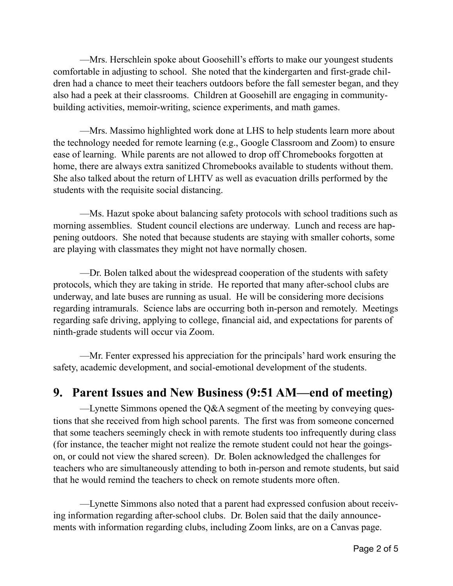—Mrs. Herschlein spoke about Goosehill's efforts to make our youngest students comfortable in adjusting to school. She noted that the kindergarten and first-grade children had a chance to meet their teachers outdoors before the fall semester began, and they also had a peek at their classrooms. Children at Goosehill are engaging in communitybuilding activities, memoir-writing, science experiments, and math games.

 —Mrs. Massimo highlighted work done at LHS to help students learn more about the technology needed for remote learning (e.g., Google Classroom and Zoom) to ensure ease of learning. While parents are not allowed to drop off Chromebooks forgotten at home, there are always extra sanitized Chromebooks available to students without them. She also talked about the return of LHTV as well as evacuation drills performed by the students with the requisite social distancing.

 —Ms. Hazut spoke about balancing safety protocols with school traditions such as morning assemblies. Student council elections are underway. Lunch and recess are happening outdoors. She noted that because students are staying with smaller cohorts, some are playing with classmates they might not have normally chosen.

 —Dr. Bolen talked about the widespread cooperation of the students with safety protocols, which they are taking in stride. He reported that many after-school clubs are underway, and late buses are running as usual. He will be considering more decisions regarding intramurals. Science labs are occurring both in-person and remotely. Meetings regarding safe driving, applying to college, financial aid, and expectations for parents of ninth-grade students will occur via Zoom.

 —Mr. Fenter expressed his appreciation for the principals' hard work ensuring the safety, academic development, and social-emotional development of the students.

## **9. Parent Issues and New Business (9:51 AM—end of meeting)**

—Lynette Simmons opened the Q&A segment of the meeting by conveying questions that she received from high school parents. The first was from someone concerned that some teachers seemingly check in with remote students too infrequently during class (for instance, the teacher might not realize the remote student could not hear the goingson, or could not view the shared screen). Dr. Bolen acknowledged the challenges for teachers who are simultaneously attending to both in-person and remote students, but said that he would remind the teachers to check on remote students more often.

 —Lynette Simmons also noted that a parent had expressed confusion about receiving information regarding after-school clubs. Dr. Bolen said that the daily announcements with information regarding clubs, including Zoom links, are on a Canvas page.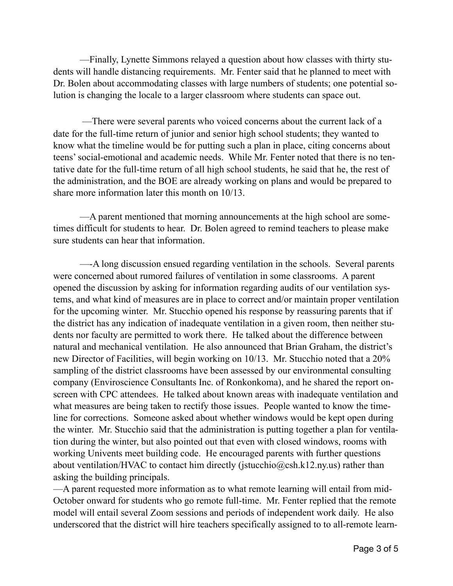—Finally, Lynette Simmons relayed a question about how classes with thirty students will handle distancing requirements. Mr. Fenter said that he planned to meet with Dr. Bolen about accommodating classes with large numbers of students; one potential solution is changing the locale to a larger classroom where students can space out.

 —There were several parents who voiced concerns about the current lack of a date for the full-time return of junior and senior high school students; they wanted to know what the timeline would be for putting such a plan in place, citing concerns about teens' social-emotional and academic needs. While Mr. Fenter noted that there is no tentative date for the full-time return of all high school students, he said that he, the rest of the administration, and the BOE are already working on plans and would be prepared to share more information later this month on 10/13.

 —A parent mentioned that morning announcements at the high school are sometimes difficult for students to hear. Dr. Bolen agreed to remind teachers to please make sure students can hear that information.

 —-A long discussion ensued regarding ventilation in the schools. Several parents were concerned about rumored failures of ventilation in some classrooms. A parent opened the discussion by asking for information regarding audits of our ventilation systems, and what kind of measures are in place to correct and/or maintain proper ventilation for the upcoming winter. Mr. Stucchio opened his response by reassuring parents that if the district has any indication of inadequate ventilation in a given room, then neither students nor faculty are permitted to work there. He talked about the difference between natural and mechanical ventilation. He also announced that Brian Graham, the district's new Director of Facilities, will begin working on 10/13. Mr. Stucchio noted that a 20% sampling of the district classrooms have been assessed by our environmental consulting company (Enviroscience Consultants Inc. of Ronkonkoma), and he shared the report onscreen with CPC attendees. He talked about known areas with inadequate ventilation and what measures are being taken to rectify those issues. People wanted to know the timeline for corrections. Someone asked about whether windows would be kept open during the winter. Mr. Stucchio said that the administration is putting together a plan for ventilation during the winter, but also pointed out that even with closed windows, rooms with working Univents meet building code. He encouraged parents with further questions about ventilation/HVAC to contact him directly ([jstucchio@csh.k12.ny.us\)](mailto:jstucchio@csh.k12.ny.us) rather than asking the building principals.

—A parent requested more information as to what remote learning will entail from mid-October onward for students who go remote full-time. Mr. Fenter replied that the remote model will entail several Zoom sessions and periods of independent work daily. He also underscored that the district will hire teachers specifically assigned to to all-remote learn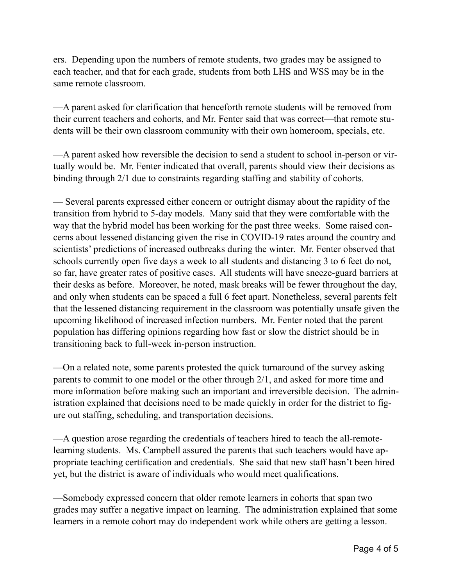ers. Depending upon the numbers of remote students, two grades may be assigned to each teacher, and that for each grade, students from both LHS and WSS may be in the same remote classroom.

—A parent asked for clarification that henceforth remote students will be removed from their current teachers and cohorts, and Mr. Fenter said that was correct—that remote students will be their own classroom community with their own homeroom, specials, etc.

—A parent asked how reversible the decision to send a student to school in-person or virtually would be. Mr. Fenter indicated that overall, parents should view their decisions as binding through 2/1 due to constraints regarding staffing and stability of cohorts.

— Several parents expressed either concern or outright dismay about the rapidity of the transition from hybrid to 5-day models. Many said that they were comfortable with the way that the hybrid model has been working for the past three weeks. Some raised concerns about lessened distancing given the rise in COVID-19 rates around the country and scientists' predictions of increased outbreaks during the winter. Mr. Fenter observed that schools currently open five days a week to all students and distancing 3 to 6 feet do not, so far, have greater rates of positive cases. All students will have sneeze-guard barriers at their desks as before. Moreover, he noted, mask breaks will be fewer throughout the day, and only when students can be spaced a full 6 feet apart. Nonetheless, several parents felt that the lessened distancing requirement in the classroom was potentially unsafe given the upcoming likelihood of increased infection numbers. Mr. Fenter noted that the parent population has differing opinions regarding how fast or slow the district should be in transitioning back to full-week in-person instruction.

—On a related note, some parents protested the quick turnaround of the survey asking parents to commit to one model or the other through 2/1, and asked for more time and more information before making such an important and irreversible decision. The administration explained that decisions need to be made quickly in order for the district to figure out staffing, scheduling, and transportation decisions.

—A question arose regarding the credentials of teachers hired to teach the all-remotelearning students. Ms. Campbell assured the parents that such teachers would have appropriate teaching certification and credentials. She said that new staff hasn't been hired yet, but the district is aware of individuals who would meet qualifications.

—Somebody expressed concern that older remote learners in cohorts that span two grades may suffer a negative impact on learning. The administration explained that some learners in a remote cohort may do independent work while others are getting a lesson.